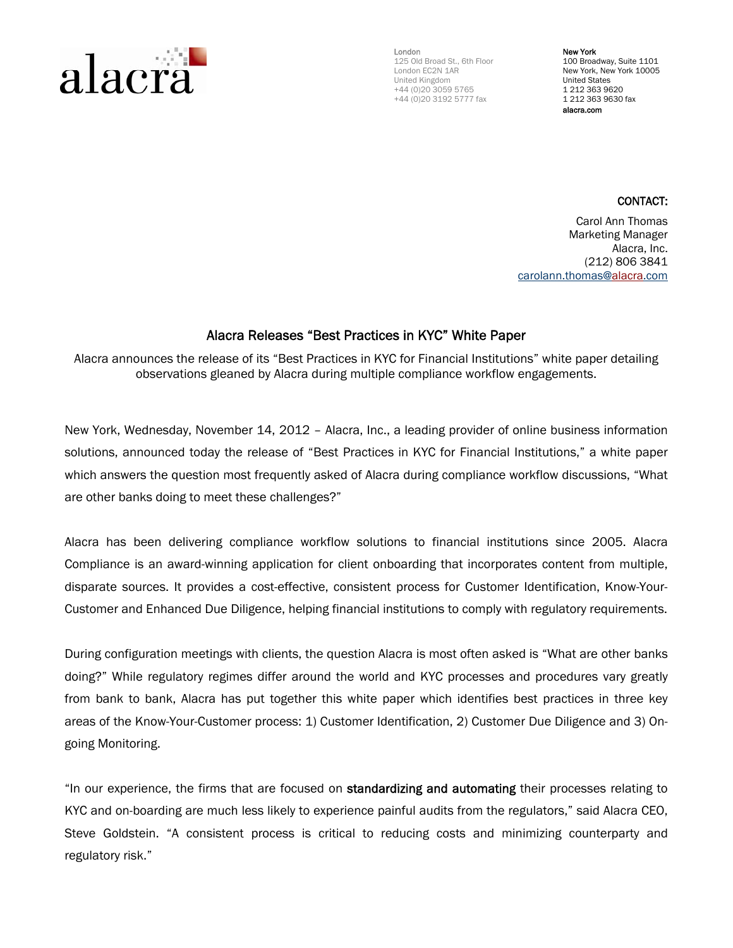

London 125 Old Broad St., 6th Floor London EC2N 1AR United Kingdom +44 (0)20 3059 5765 +44 (0)20 3192 5777 fax

New York 100 Broadway, Suite 1101 New York, New York 10005 United States 1 212 363 9620 1 212 363 9630 fax alacra.com

## CONTACT:

Carol Ann Thomas Marketing Manager Alacra, Inc. (212) 806 3841 carolann.thomas@alacra.com

## Alacra Releases "Best Practices in KYC" White Paper

Alacra announces the release of its "Best Practices in KYC for Financial Institutions" white paper detailing observations gleaned by Alacra during multiple compliance workflow engagements.

New York, Wednesday, November 14, 2012 – Alacra, Inc., a leading provider of online business information solutions, announced today the release of "Best Practices in KYC for Financial Institutions," a white paper which answers the question most frequently asked of Alacra during compliance workflow discussions, "What are other banks doing to meet these challenges?"

Alacra has been delivering compliance workflow solutions to financial institutions since 2005. Alacra Compliance is an award-winning application for client onboarding that incorporates content from multiple, disparate sources. It provides a cost-effective, consistent process for Customer Identification, Know-Your-Customer and Enhanced Due Diligence, helping financial institutions to comply with regulatory requirements.

During configuration meetings with clients, the question Alacra is most often asked is "What are other banks doing?" While regulatory regimes differ around the world and KYC processes and procedures vary greatly from bank to bank, Alacra has put together this white paper which identifies best practices in three key areas of the Know-Your-Customer process: 1) Customer Identification, 2) Customer Due Diligence and 3) Ongoing Monitoring.

"In our experience, the firms that are focused on standardizing and automating their processes relating to KYC and on-boarding are much less likely to experience painful audits from the regulators," said Alacra CEO, Steve Goldstein. "A consistent process is critical to reducing costs and minimizing counterparty and regulatory risk."